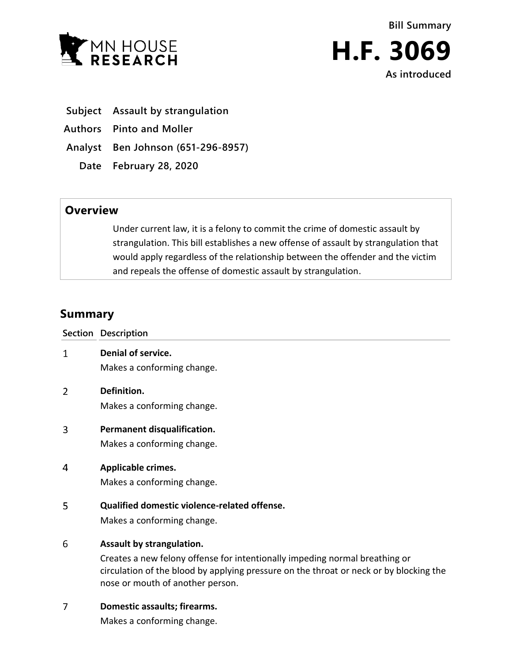



- **Subject Assault by strangulation**
- **Authors Pinto and Moller**

**Analyst Ben Johnson (651-296-8957)**

**Date February 28, 2020**

## **Overview**

Under current law, it is a felony to commit the crime of domestic assault by strangulation. This bill establishes a new offense of assault by strangulation that would apply regardless of the relationship between the offender and the victim and repeals the offense of domestic assault by strangulation.

## **Summary**

|   | Section Description                                                                                                                                                                                                                    |
|---|----------------------------------------------------------------------------------------------------------------------------------------------------------------------------------------------------------------------------------------|
| 1 | Denial of service.<br>Makes a conforming change.                                                                                                                                                                                       |
| 2 | Definition.<br>Makes a conforming change.                                                                                                                                                                                              |
| 3 | Permanent disqualification.<br>Makes a conforming change.                                                                                                                                                                              |
| 4 | Applicable crimes.<br>Makes a conforming change.                                                                                                                                                                                       |
| 5 | Qualified domestic violence-related offense.<br>Makes a conforming change.                                                                                                                                                             |
| 6 | Assault by strangulation.<br>Creates a new felony offense for intentionally impeding normal breathing or<br>circulation of the blood by applying pressure on the throat or neck or by blocking the<br>nose or mouth of another person. |
| 7 | Domestic assaults; firearms.<br>Makes a conforming change.                                                                                                                                                                             |